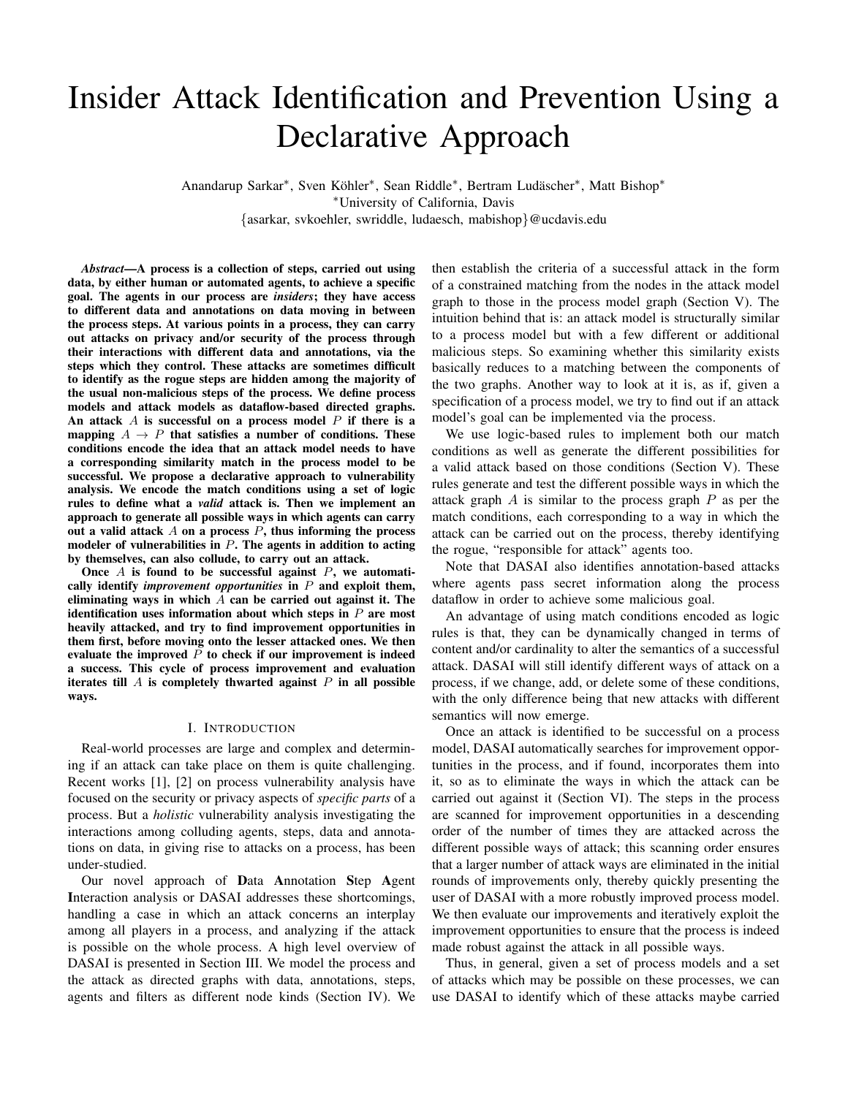# Insider Attack Identification and Prevention Using a Declarative Approach

Anandarup Sarkar<sup>\*</sup>, Sven Köhler<sup>\*</sup>, Sean Riddle<sup>\*</sup>, Bertram Ludäscher<sup>\*</sup>, Matt Bishop<sup>\*</sup> <sup>∗</sup>University of California, Davis {asarkar, svkoehler, swriddle, ludaesch, mabishop}@ucdavis.edu

*Abstract*—A process is a collection of steps, carried out using data, by either human or automated agents, to achieve a specific goal. The agents in our process are *insiders*; they have access to different data and annotations on data moving in between the process steps. At various points in a process, they can carry out attacks on privacy and/or security of the process through their interactions with different data and annotations, via the steps which they control. These attacks are sometimes difficult to identify as the rogue steps are hidden among the majority of the usual non-malicious steps of the process. We define process models and attack models as dataflow-based directed graphs. An attack  $A$  is successful on a process model  $P$  if there is a mapping  $A \rightarrow P$  that satisfies a number of conditions. These conditions encode the idea that an attack model needs to have a corresponding similarity match in the process model to be successful. We propose a declarative approach to vulnerability analysis. We encode the match conditions using a set of logic rules to define what a *valid* attack is. Then we implement an approach to generate all possible ways in which agents can carry out a valid attack  $A$  on a process  $P$ , thus informing the process modeler of vulnerabilities in  $P$ . The agents in addition to acting by themselves, can also collude, to carry out an attack.

Once  $A$  is found to be successful against  $P$ , we automatically identify *improvement opportunities* in  $P$  and exploit them, eliminating ways in which  $A$  can be carried out against it. The identification uses information about which steps in  $P$  are most heavily attacked, and try to find improvement opportunities in them first, before moving onto the lesser attacked ones. We then evaluate the improved  $P$  to check if our improvement is indeed a success. This cycle of process improvement and evaluation iterates till  $A$  is completely thwarted against  $P$  in all possible ways.

## I. INTRODUCTION

Real-world processes are large and complex and determining if an attack can take place on them is quite challenging. Recent works [1], [2] on process vulnerability analysis have focused on the security or privacy aspects of *specific parts* of a process. But a *holistic* vulnerability analysis investigating the interactions among colluding agents, steps, data and annotations on data, in giving rise to attacks on a process, has been under-studied.

Our novel approach of Data Annotation Step Agent Interaction analysis or DASAI addresses these shortcomings, handling a case in which an attack concerns an interplay among all players in a process, and analyzing if the attack is possible on the whole process. A high level overview of DASAI is presented in Section III. We model the process and the attack as directed graphs with data, annotations, steps, agents and filters as different node kinds (Section IV). We then establish the criteria of a successful attack in the form of a constrained matching from the nodes in the attack model graph to those in the process model graph (Section V). The intuition behind that is: an attack model is structurally similar to a process model but with a few different or additional malicious steps. So examining whether this similarity exists basically reduces to a matching between the components of the two graphs. Another way to look at it is, as if, given a specification of a process model, we try to find out if an attack model's goal can be implemented via the process.

We use logic-based rules to implement both our match conditions as well as generate the different possibilities for a valid attack based on those conditions (Section V). These rules generate and test the different possible ways in which the attack graph  $A$  is similar to the process graph  $P$  as per the match conditions, each corresponding to a way in which the attack can be carried out on the process, thereby identifying the rogue, "responsible for attack" agents too.

Note that DASAI also identifies annotation-based attacks where agents pass secret information along the process dataflow in order to achieve some malicious goal.

An advantage of using match conditions encoded as logic rules is that, they can be dynamically changed in terms of content and/or cardinality to alter the semantics of a successful attack. DASAI will still identify different ways of attack on a process, if we change, add, or delete some of these conditions, with the only difference being that new attacks with different semantics will now emerge.

Once an attack is identified to be successful on a process model, DASAI automatically searches for improvement opportunities in the process, and if found, incorporates them into it, so as to eliminate the ways in which the attack can be carried out against it (Section VI). The steps in the process are scanned for improvement opportunities in a descending order of the number of times they are attacked across the different possible ways of attack; this scanning order ensures that a larger number of attack ways are eliminated in the initial rounds of improvements only, thereby quickly presenting the user of DASAI with a more robustly improved process model. We then evaluate our improvements and iteratively exploit the improvement opportunities to ensure that the process is indeed made robust against the attack in all possible ways.

Thus, in general, given a set of process models and a set of attacks which may be possible on these processes, we can use DASAI to identify which of these attacks maybe carried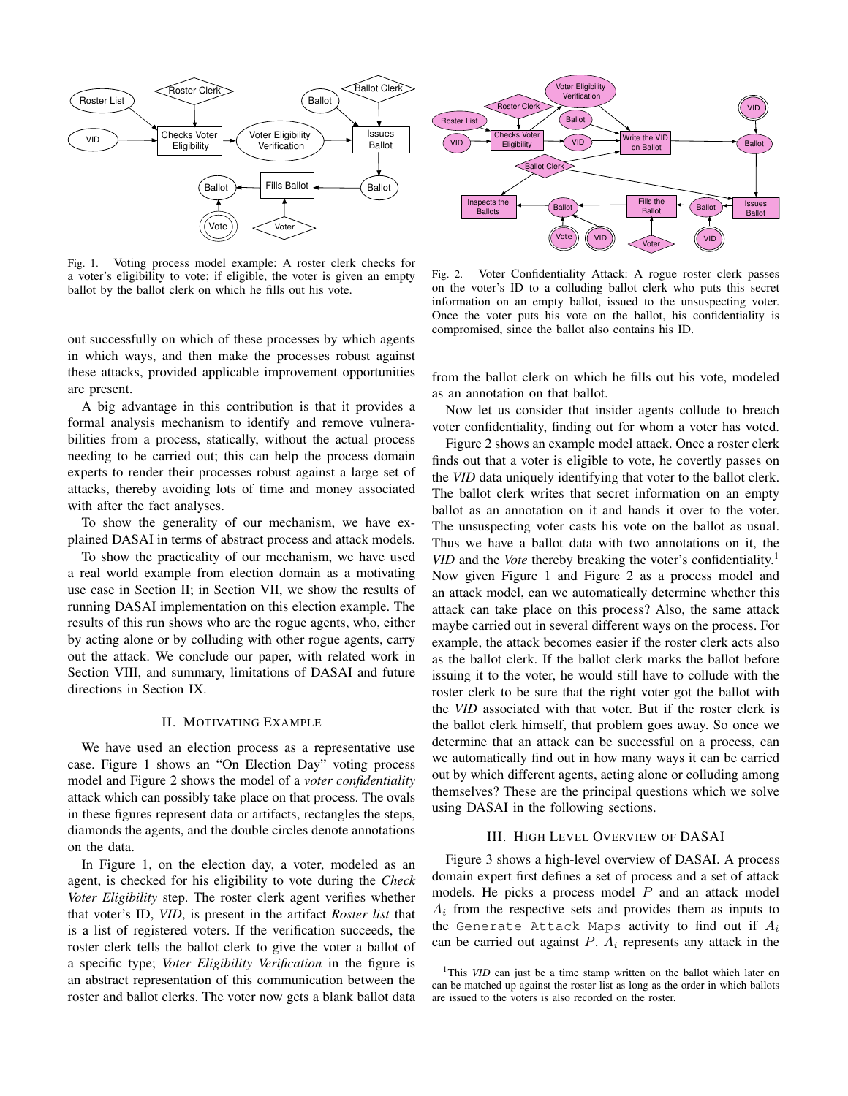

Fig. 1. Voting process model example: A roster clerk checks for a voter's eligibility to vote; if eligible, the voter is given an empty ballot by the ballot clerk on which he fills out his vote.

out successfully on which of these processes by which agents in which ways, and then make the processes robust against these attacks, provided applicable improvement opportunities are present.

A big advantage in this contribution is that it provides a formal analysis mechanism to identify and remove vulnerabilities from a process, statically, without the actual process needing to be carried out; this can help the process domain experts to render their processes robust against a large set of attacks, thereby avoiding lots of time and money associated with after the fact analyses.

To show the generality of our mechanism, we have explained DASAI in terms of abstract process and attack models.

To show the practicality of our mechanism, we have used a real world example from election domain as a motivating use case in Section II; in Section VII, we show the results of running DASAI implementation on this election example. The results of this run shows who are the rogue agents, who, either by acting alone or by colluding with other rogue agents, carry out the attack. We conclude our paper, with related work in Section VIII, and summary, limitations of DASAI and future directions in Section IX.

#### II. MOTIVATING EXAMPLE

We have used an election process as a representative use case. Figure 1 shows an "On Election Day" voting process model and Figure 2 shows the model of a *voter confidentiality* attack which can possibly take place on that process. The ovals in these figures represent data or artifacts, rectangles the steps, diamonds the agents, and the double circles denote annotations on the data.

In Figure 1, on the election day, a voter, modeled as an agent, is checked for his eligibility to vote during the *Check Voter Eligibility* step. The roster clerk agent verifies whether that voter's ID, *VID*, is present in the artifact *Roster list* that is a list of registered voters. If the verification succeeds, the roster clerk tells the ballot clerk to give the voter a ballot of a specific type; *Voter Eligibility Verification* in the figure is an abstract representation of this communication between the roster and ballot clerks. The voter now gets a blank ballot data



Fig. 2. Voter Confidentiality Attack: A rogue roster clerk passes on the voter's ID to a colluding ballot clerk who puts this secret information on an empty ballot, issued to the unsuspecting voter. Once the voter puts his vote on the ballot, his confidentiality is compromised, since the ballot also contains his ID.

from the ballot clerk on which he fills out his vote, modeled as an annotation on that ballot.

Now let us consider that insider agents collude to breach voter confidentiality, finding out for whom a voter has voted.

Figure 2 shows an example model attack. Once a roster clerk finds out that a voter is eligible to vote, he covertly passes on the *VID* data uniquely identifying that voter to the ballot clerk. The ballot clerk writes that secret information on an empty ballot as an annotation on it and hands it over to the voter. The unsuspecting voter casts his vote on the ballot as usual. Thus we have a ballot data with two annotations on it, the *VID* and the *Vote* thereby breaking the voter's confidentiality.<sup>1</sup> Now given Figure 1 and Figure 2 as a process model and an attack model, can we automatically determine whether this attack can take place on this process? Also, the same attack maybe carried out in several different ways on the process. For example, the attack becomes easier if the roster clerk acts also as the ballot clerk. If the ballot clerk marks the ballot before issuing it to the voter, he would still have to collude with the roster clerk to be sure that the right voter got the ballot with the *VID* associated with that voter. But if the roster clerk is the ballot clerk himself, that problem goes away. So once we determine that an attack can be successful on a process, can we automatically find out in how many ways it can be carried out by which different agents, acting alone or colluding among themselves? These are the principal questions which we solve using DASAI in the following sections.

## III. HIGH LEVEL OVERVIEW OF DASAI

Figure 3 shows a high-level overview of DASAI. A process domain expert first defines a set of process and a set of attack models. He picks a process model  $P$  and an attack model  $A_i$  from the respective sets and provides them as inputs to the Generate Attack Maps activity to find out if  $A_i$ can be carried out against  $P$ .  $A_i$  represents any attack in the

<sup>&</sup>lt;sup>1</sup>This *VID* can just be a time stamp written on the ballot which later on can be matched up against the roster list as long as the order in which ballots are issued to the voters is also recorded on the roster.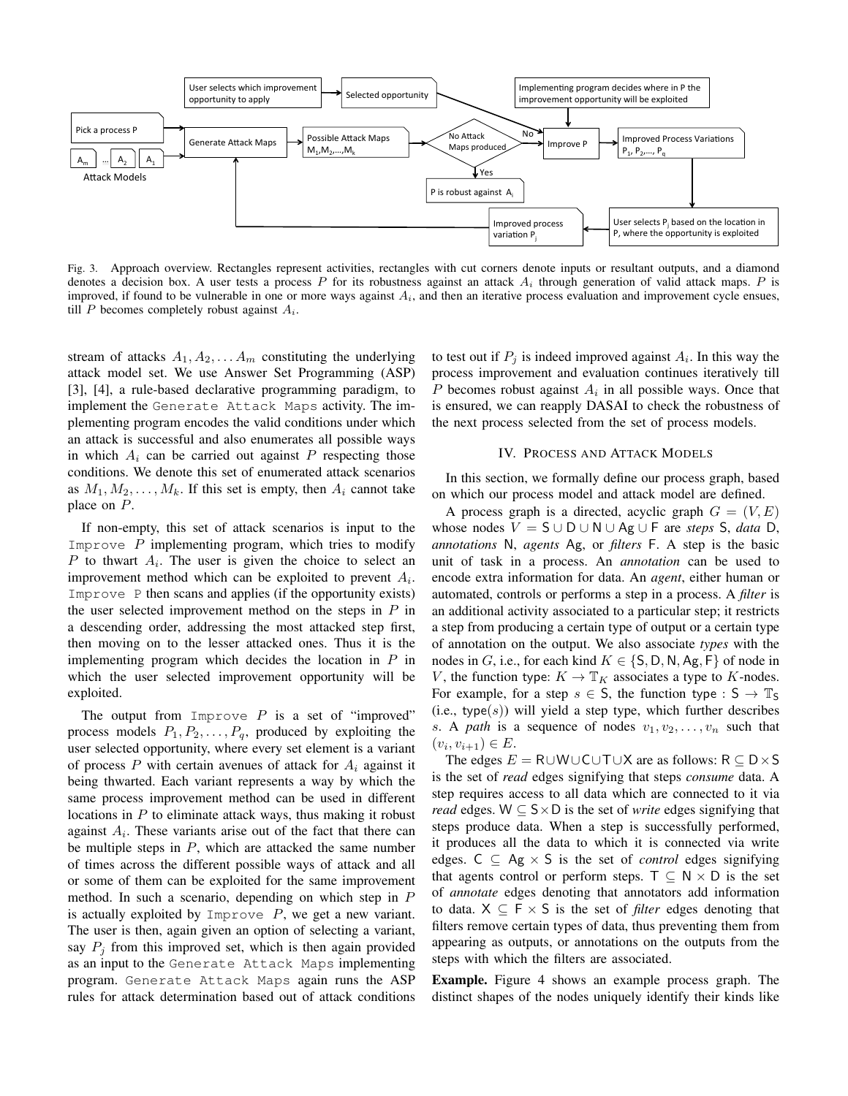

Fig. 3. Approach overview. Rectangles represent activities, rectangles with cut corners denote inputs or resultant outputs, and a diamond denotes a decision box. A user tests a process  $P$  for its robustness against an attack  $A_i$  through generation of valid attack maps.  $P$  is improved, if found to be vulnerable in one or more ways against  $A_i$ , and then an iterative process evaluation and improvement cycle ensues, till P becomes completely robust against  $A_i$ .

stream of attacks  $A_1, A_2, \ldots, A_m$  constituting the underlying attack model set. We use Answer Set Programming (ASP) [3], [4], a rule-based declarative programming paradigm, to implement the Generate Attack Maps activity. The implementing program encodes the valid conditions under which an attack is successful and also enumerates all possible ways in which  $A_i$  can be carried out against P respecting those conditions. We denote this set of enumerated attack scenarios as  $M_1, M_2, \ldots, M_k$ . If this set is empty, then  $A_i$  cannot take place on P.

If non-empty, this set of attack scenarios is input to the Improve  $P$  implementing program, which tries to modify  $P$  to thwart  $A_i$ . The user is given the choice to select an improvement method which can be exploited to prevent  $A_i$ . Improve P then scans and applies (if the opportunity exists) the user selected improvement method on the steps in  $P$  in a descending order, addressing the most attacked step first, then moving on to the lesser attacked ones. Thus it is the implementing program which decides the location in  $P$  in which the user selected improvement opportunity will be exploited.

The output from Improve  $P$  is a set of "improved" process models  $P_1, P_2, \ldots, P_q$ , produced by exploiting the user selected opportunity, where every set element is a variant of process P with certain avenues of attack for  $A_i$  against it being thwarted. Each variant represents a way by which the same process improvement method can be used in different locations in  $P$  to eliminate attack ways, thus making it robust against  $A_i$ . These variants arise out of the fact that there can be multiple steps in  $P$ , which are attacked the same number of times across the different possible ways of attack and all or some of them can be exploited for the same improvement method. In such a scenario, depending on which step in P is actually exploited by Improve  $P$ , we get a new variant. The user is then, again given an option of selecting a variant, say  $P_i$  from this improved set, which is then again provided as an input to the Generate Attack Maps implementing program. Generate Attack Maps again runs the ASP rules for attack determination based out of attack conditions

to test out if  $P_j$  is indeed improved against  $A_i$ . In this way the process improvement and evaluation continues iteratively till  $P$  becomes robust against  $A_i$  in all possible ways. Once that is ensured, we can reapply DASAI to check the robustness of the next process selected from the set of process models.

#### IV. PROCESS AND ATTACK MODELS

In this section, we formally define our process graph, based on which our process model and attack model are defined.

A process graph is a directed, acyclic graph  $G = (V, E)$ whose nodes  $V = S \cup D \cup N \cup Ag \cup F$  are *steps* S, *data* D, *annotations* N, *agents* Ag, or *filters* F. A step is the basic unit of task in a process. An *annotation* can be used to encode extra information for data. An *agent*, either human or automated, controls or performs a step in a process. A *filter* is an additional activity associated to a particular step; it restricts a step from producing a certain type of output or a certain type of annotation on the output. We also associate *types* with the nodes in G, i.e., for each kind  $K \in \{S, D, N, Ag, F\}$  of node in V, the function type:  $K \to \mathbb{T}_K$  associates a type to K-nodes. For example, for a step  $s \in S$ , the function type :  $S \to \mathbb{T}_S$ (i.e., type $(s)$ ) will yield a step type, which further describes s. A *path* is a sequence of nodes  $v_1, v_2, \ldots, v_n$  such that  $(v_i, v_{i+1}) \in E.$ 

The edges  $E = R \cup W \cup C \cup T \cup X$  are as follows:  $R \subseteq D \times S$ is the set of *read* edges signifying that steps *consume* data. A step requires access to all data which are connected to it via *read* edges. W  $\subseteq$  S  $\times$  D is the set of *write* edges signifying that steps produce data. When a step is successfully performed, it produces all the data to which it is connected via write edges.  $C \subseteq Ag \times S$  is the set of *control* edges signifying that agents control or perform steps.  $T \subseteq N \times D$  is the set of *annotate* edges denoting that annotators add information to data.  $X \subseteq F \times S$  is the set of *filter* edges denoting that filters remove certain types of data, thus preventing them from appearing as outputs, or annotations on the outputs from the steps with which the filters are associated.

Example. Figure 4 shows an example process graph. The distinct shapes of the nodes uniquely identify their kinds like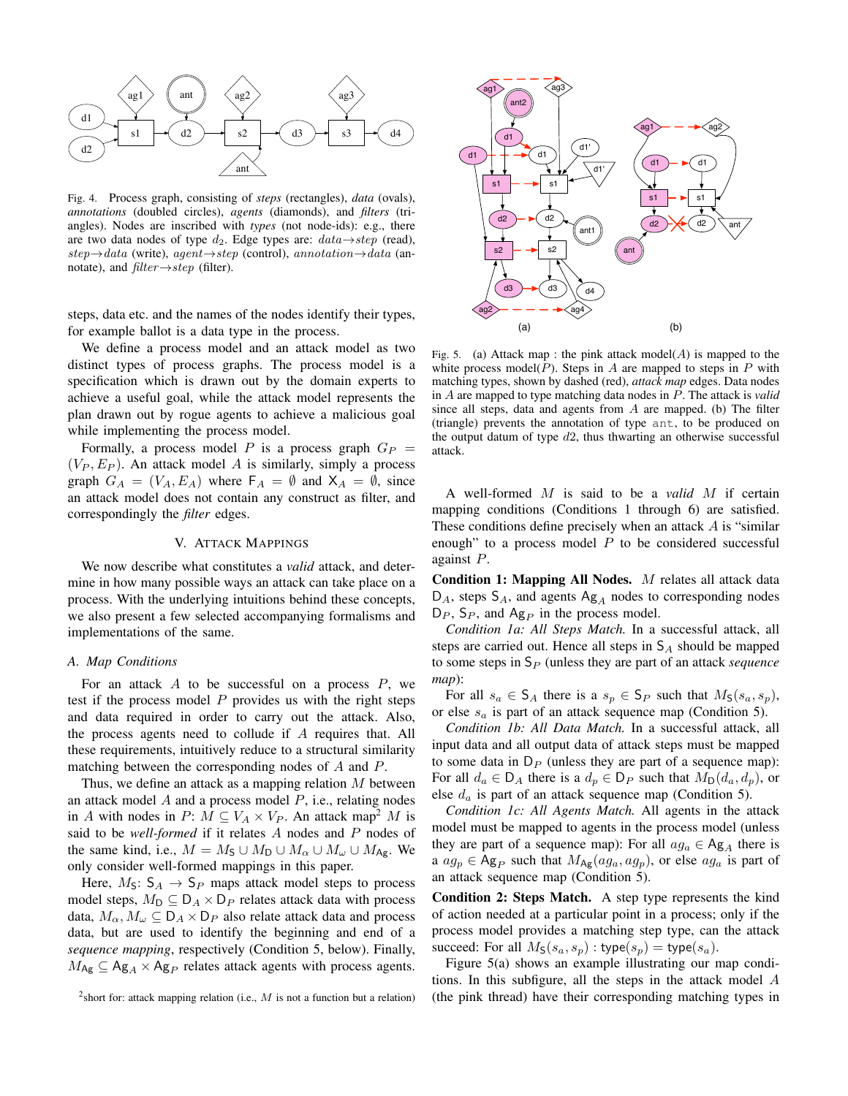

Fig. 4. Process graph, consisting of *steps* (rectangles), *data* (ovals), *annotations* (doubled circles), *agents* (diamonds), and *filters* (triangles). Nodes are inscribed with *types* (not node-ids): e.g., there are two data nodes of type  $d_2$ . Edge types are:  $data \rightarrow step$  (read),  $step \rightarrow data$  (write), agent $\rightarrow step$  (control), annotation $\rightarrow data$  (annotate), and  $filter \rightarrow step$  (filter).

steps, data etc. and the names of the nodes identify their types, for example ballot is a data type in the process.

We define a process model and an attack model as two distinct types of process graphs. The process model is a specification which is drawn out by the domain experts to achieve a useful goal, while the attack model represents the plan drawn out by rogue agents to achieve a malicious goal while implementing the process model.

Formally, a process model P is a process graph  $G_P$  =  $(V_P, E_P)$ . An attack model A is similarly, simply a process graph  $G_A = (V_A, E_A)$  where  $F_A = \emptyset$  and  $X_A = \emptyset$ , since an attack model does not contain any construct as filter, and correspondingly the *filter* edges.

## V. ATTACK MAPPINGS

We now describe what constitutes a *valid* attack, and determine in how many possible ways an attack can take place on a process. With the underlying intuitions behind these concepts, we also present a few selected accompanying formalisms and implementations of the same.

## *A. Map Conditions*

For an attack  $A$  to be successful on a process  $P$ , we test if the process model  $P$  provides us with the right steps and data required in order to carry out the attack. Also, the process agents need to collude if A requires that. All these requirements, intuitively reduce to a structural similarity matching between the corresponding nodes of A and P.

Thus, we define an attack as a mapping relation  $M$  between an attack model  $A$  and a process model  $P$ , i.e., relating nodes in A with nodes in P:  $M \subseteq V_A \times V_P$ . An attack map<sup>2</sup> M is said to be *well-formed* if it relates A nodes and P nodes of the same kind, i.e.,  $M = M_S \cup M_D \cup M_\alpha \cup M_\omega \cup M_{Ag}$ . We only consider well-formed mappings in this paper.

Here,  $M_S$ :  $S_A \rightarrow S_P$  maps attack model steps to process model steps,  $M_D \subseteq D_A \times D_P$  relates attack data with process data,  $M_{\alpha}, M_{\omega} \subseteq D_A \times D_P$  also relate attack data and process data, but are used to identify the beginning and end of a *sequence mapping*, respectively (Condition 5, below). Finally,  $M_{\text{Ag}} \subseteq \text{Ag}_A \times \text{Ag}_P$  relates attack agents with process agents.





Fig. 5. (a) Attack map : the pink attack model(A) is mapped to the white process model(P). Steps in A are mapped to steps in P with matching types, shown by dashed (red), *attack map* edges. Data nodes in A are mapped to type matching data nodes in P. The attack is *valid* since all steps, data and agents from  $A$  are mapped. (b) The filter (triangle) prevents the annotation of type ant, to be produced on the output datum of type  $d2$ , thus thwarting an otherwise successful attack.

A well-formed M is said to be a *valid* M if certain mapping conditions (Conditions 1 through 6) are satisfied. These conditions define precisely when an attack  $A$  is "similar enough" to a process model  $P$  to be considered successful against P.

Condition 1: Mapping All Nodes.  $M$  relates all attack data  $D_A$ , steps  $S_A$ , and agents  $Ag_A$  nodes to corresponding nodes  $D_P$ ,  $S_P$ , and  $Ag_P$  in the process model.

*Condition 1a: All Steps Match.* In a successful attack, all steps are carried out. Hence all steps in  $S_A$  should be mapped to some steps in  $S_P$  (unless they are part of an attack *sequence map*):

For all  $s_a \in \mathsf{S}_A$  there is a  $s_p \in \mathsf{S}_P$  such that  $M_{\mathsf{S}}(s_a, s_p)$ , or else  $s_a$  is part of an attack sequence map (Condition 5).

*Condition 1b: All Data Match.* In a successful attack, all input data and all output data of attack steps must be mapped to some data in  $D_P$  (unless they are part of a sequence map): For all  $d_a \in D_A$  there is a  $d_p \in D_P$  such that  $M_D(d_a, d_p)$ , or else  $d_a$  is part of an attack sequence map (Condition 5).

*Condition 1c: All Agents Match.* All agents in the attack model must be mapped to agents in the process model (unless they are part of a sequence map): For all  $ag_a \in Ag_A$  there is a  $ag_p \in \mathsf{Ag}_P$  such that  $M_{\mathsf{Ag}}(ag_a, ag_p)$ , or else  $ag_a$  is part of an attack sequence map (Condition 5).

Condition 2: Steps Match. A step type represents the kind of action needed at a particular point in a process; only if the process model provides a matching step type, can the attack succeed: For all  $M_S(s_a, s_p)$ : type $(s_p)$  = type $(s_a)$ .

Figure 5(a) shows an example illustrating our map conditions. In this subfigure, all the steps in the attack model A (the pink thread) have their corresponding matching types in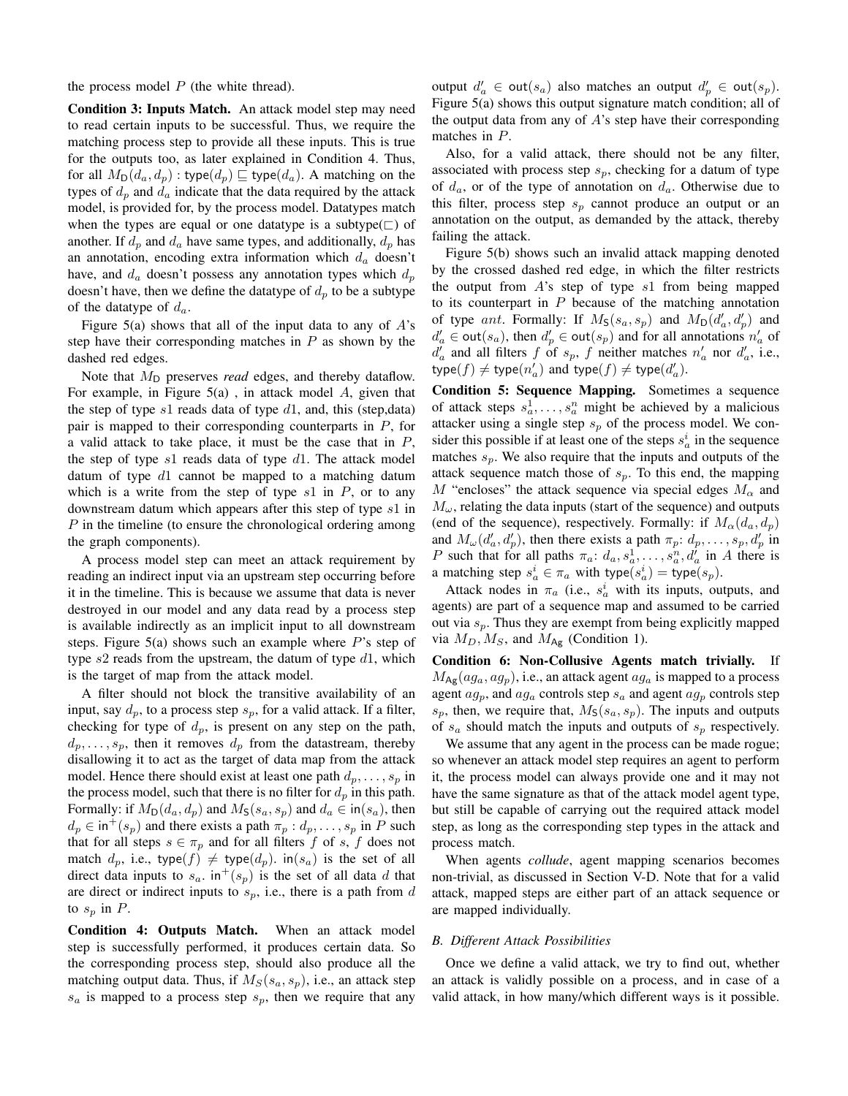the process model  $P$  (the white thread).

Condition 3: Inputs Match. An attack model step may need to read certain inputs to be successful. Thus, we require the matching process step to provide all these inputs. This is true for the outputs too, as later explained in Condition 4. Thus, for all  $M_D(d_a, d_p)$ : type $(d_p) \sqsubseteq$  type $(d_a)$ . A matching on the types of  $d_p$  and  $d_a$  indicate that the data required by the attack model, is provided for, by the process model. Datatypes match when the types are equal or one datatype is a subtype( $\sqsubset$ ) of another. If  $d_p$  and  $d_a$  have same types, and additionally,  $d_p$  has an annotation, encoding extra information which  $d_a$  doesn't have, and  $d_a$  doesn't possess any annotation types which  $d_p$ doesn't have, then we define the datatype of  $d_p$  to be a subtype of the data type of  $d_a$ .

Figure 5(a) shows that all of the input data to any of  $A$ 's step have their corresponding matches in  $P$  as shown by the dashed red edges.

Note that  $M_D$  preserves *read* edges, and thereby dataflow. For example, in Figure 5(a) , in attack model A, given that the step of type  $s1$  reads data of type  $d1$ , and, this (step,data) pair is mapped to their corresponding counterparts in  $P$ , for a valid attack to take place, it must be the case that in  $P$ , the step of type  $s_1$  reads data of type  $d_1$ . The attack model datum of type  $d1$  cannot be mapped to a matching datum which is a write from the step of type  $s1$  in  $P$ , or to any downstream datum which appears after this step of type s1 in P in the timeline (to ensure the chronological ordering among the graph components).

A process model step can meet an attack requirement by reading an indirect input via an upstream step occurring before it in the timeline. This is because we assume that data is never destroyed in our model and any data read by a process step is available indirectly as an implicit input to all downstream steps. Figure 5(a) shows such an example where  $P$ 's step of type  $s2$  reads from the upstream, the datum of type  $d1$ , which is the target of map from the attack model.

A filter should not block the transitive availability of an input, say  $d_p$ , to a process step  $s_p$ , for a valid attack. If a filter, checking for type of  $d_p$ , is present on any step on the path,  $d_p, \ldots, s_p$ , then it removes  $d_p$  from the datastream, thereby disallowing it to act as the target of data map from the attack model. Hence there should exist at least one path  $d_p, \ldots, s_p$  in the process model, such that there is no filter for  $d_p$  in this path. Formally: if  $M_D(d_a, d_p)$  and  $M_S(s_a, s_p)$  and  $d_a \in \text{in}(s_a)$ , then  $d_p \in \text{in}^+(s_p)$  and there exists a path  $\pi_p : d_p, \ldots, s_p$  in P such that for all steps  $s \in \pi_p$  and for all filters f of s, f does not match  $d_p$ , i.e., type $(f) \neq$  type $(d_p)$ . in $(s_a)$  is the set of all direct data inputs to  $s_a$ . in<sup>+</sup>( $s_p$ ) is the set of all data d that are direct or indirect inputs to  $s_p$ , i.e., there is a path from d to  $s_p$  in  $P$ .

Condition 4: Outputs Match. When an attack model step is successfully performed, it produces certain data. So the corresponding process step, should also produce all the matching output data. Thus, if  $M_S(s_a, s_p)$ , i.e., an attack step  $s_a$  is mapped to a process step  $s_p$ , then we require that any

output  $d'_a \in \text{out}(s_a)$  also matches an output  $d'_p \in \text{out}(s_p)$ . Figure 5(a) shows this output signature match condition; all of the output data from any of  $A$ 's step have their corresponding matches in P.

Also, for a valid attack, there should not be any filter, associated with process step  $s_p$ , checking for a datum of type of  $d_a$ , or of the type of annotation on  $d_a$ . Otherwise due to this filter, process step  $s_p$  cannot produce an output or an annotation on the output, as demanded by the attack, thereby failing the attack.

Figure 5(b) shows such an invalid attack mapping denoted by the crossed dashed red edge, in which the filter restricts the output from  $A$ 's step of type  $s1$  from being mapped to its counterpart in  $P$  because of the matching annotation of type ant. Formally: If  $M_5(s_a, s_p)$  and  $M_D(d'_a, d'_p)$  and  $d'_a \in \text{out}(s_a)$ , then  $d'_p \in \text{out}(s_p)$  and for all annotations  $n'_a$  of  $d'_a$  and all filters f of  $s_p$ , f neither matches  $n'_a$  nor  $d'_a$ , i.e.,  $\mathsf{type}(f) \neq \mathsf{type}(n_a')$  and  $\mathsf{type}(f) \neq \mathsf{type}(d_a').$ 

Condition 5: Sequence Mapping. Sometimes a sequence of attack steps  $s_a^1, \ldots, s_a^n$  might be achieved by a malicious attacker using a single step  $s_p$  of the process model. We consider this possible if at least one of the steps  $s_a^i$  in the sequence matches  $s_p$ . We also require that the inputs and outputs of the attack sequence match those of  $s_p$ . To this end, the mapping M "encloses" the attack sequence via special edges  $M_{\alpha}$  and  $M_{\omega}$ , relating the data inputs (start of the sequence) and outputs (end of the sequence), respectively. Formally: if  $M_{\alpha}(d_a, d_p)$ and  $M_{\omega}(d'_{a}, d'_{p})$ , then there exists a path  $\pi_{p}: d_{p}, \ldots, s_{p}, d'_{p}$  in P such that for all paths  $\pi_a: d_a, s_a^1, \ldots, s_a^n, d_a^i$  in A there is a matching step  $s_a^i \in \pi_a$  with type $(s_a^i) =$  type $(s_p)$ .

Attack nodes in  $\pi_a$  (i.e.,  $s_a^i$  with its inputs, outputs, and agents) are part of a sequence map and assumed to be carried out via  $s_p$ . Thus they are exempt from being explicitly mapped via  $M_D, M_S$ , and  $M_{Ag}$  (Condition 1).

Condition 6: Non-Collusive Agents match trivially. If  $M_{\text{Ag}}(a g_a, a g_p)$ , i.e., an attack agent  $a g_a$  is mapped to a process agent  $ag_p$ , and  $ag_a$  controls step  $s_a$  and agent  $ag_p$  controls step  $s_p$ , then, we require that,  $M_S(s_a, s_p)$ . The inputs and outputs of  $s_a$  should match the inputs and outputs of  $s_p$  respectively.

We assume that any agent in the process can be made rogue; so whenever an attack model step requires an agent to perform it, the process model can always provide one and it may not have the same signature as that of the attack model agent type, but still be capable of carrying out the required attack model step, as long as the corresponding step types in the attack and process match.

When agents *collude*, agent mapping scenarios becomes non-trivial, as discussed in Section V-D. Note that for a valid attack, mapped steps are either part of an attack sequence or are mapped individually.

#### *B. Different Attack Possibilities*

Once we define a valid attack, we try to find out, whether an attack is validly possible on a process, and in case of a valid attack, in how many/which different ways is it possible.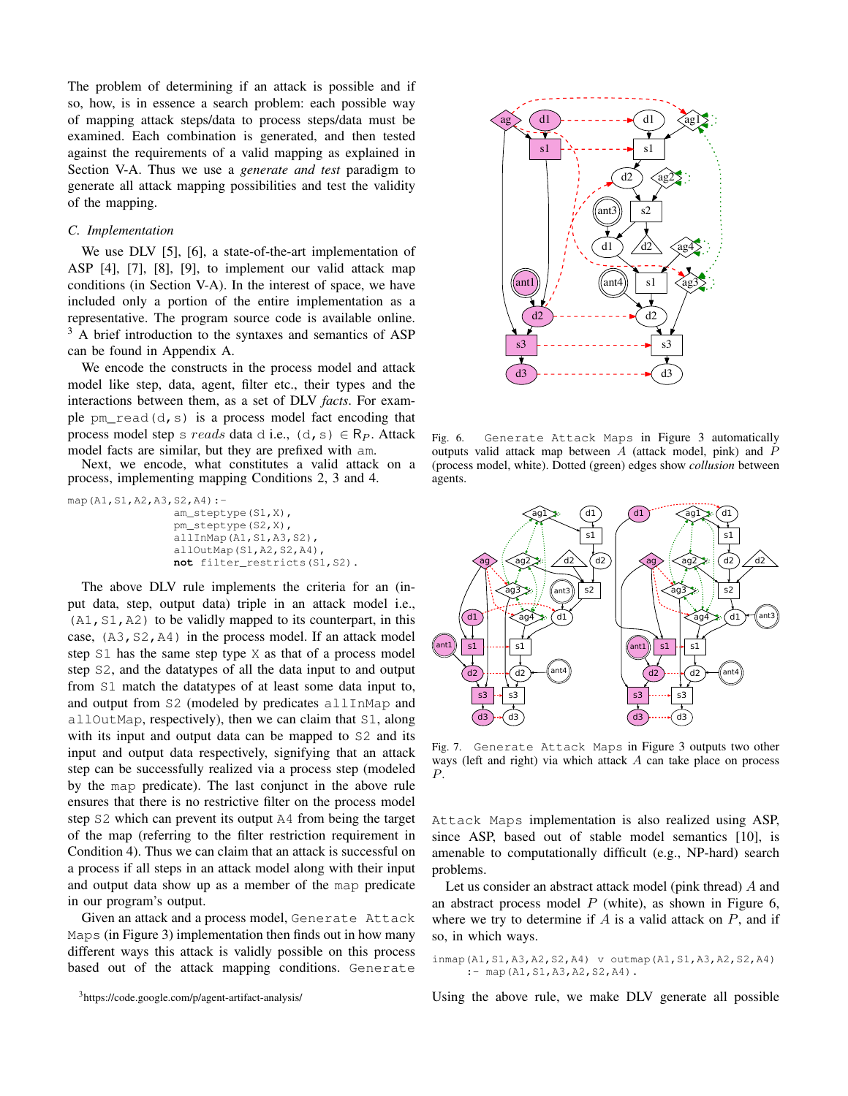The problem of determining if an attack is possible and if so, how, is in essence a search problem: each possible way of mapping attack steps/data to process steps/data must be examined. Each combination is generated, and then tested against the requirements of a valid mapping as explained in Section V-A. Thus we use a *generate and test* paradigm to generate all attack mapping possibilities and test the validity of the mapping.

# *C. Implementation*

We use DLV [5], [6], a state-of-the-art implementation of ASP [4], [7], [8], [9], to implement our valid attack map conditions (in Section V-A). In the interest of space, we have included only a portion of the entire implementation as a representative. The program source code is available online. <sup>3</sup> A brief introduction to the syntaxes and semantics of ASP can be found in Appendix A.

We encode the constructs in the process model and attack model like step, data, agent, filter etc., their types and the interactions between them, as a set of DLV *facts*. For example  $pm$  read(d, s) is a process model fact encoding that process model step s reads data d i.e.,  $(d, s) \in R_P$ . Attack model facts are similar, but they are prefixed with am.

Next, we encode, what constitutes a valid attack on a process, implementing mapping Conditions 2, 3 and 4.

```
map(A1,S1,A2,A3,S2,A4):-
    am_steptype(S1,X),
    pm_steptype(S2,X),
    allInMap(A1,S1,A3,S2),
    allOutMap(S1,A2,S2,A4),
    not filter_restricts(S1,S2).
```
The above DLV rule implements the criteria for an (input data, step, output data) triple in an attack model i.e.,  $(A1, S1, A2)$  to be validly mapped to its counterpart, in this case, (A3, S2, A4) in the process model. If an attack model step S1 has the same step type X as that of a process model step S2, and the datatypes of all the data input to and output from S1 match the datatypes of at least some data input to, and output from S2 (modeled by predicates allInMap and allOutMap, respectively), then we can claim that S1, along with its input and output data can be mapped to S2 and its input and output data respectively, signifying that an attack step can be successfully realized via a process step (modeled by the map predicate). The last conjunct in the above rule ensures that there is no restrictive filter on the process model step S2 which can prevent its output A4 from being the target of the map (referring to the filter restriction requirement in Condition 4). Thus we can claim that an attack is successful on a process if all steps in an attack model along with their input and output data show up as a member of the map predicate in our program's output.

Given an attack and a process model, Generate Attack Maps (in Figure 3) implementation then finds out in how many different ways this attack is validly possible on this process based out of the attack mapping conditions. Generate

<sup>3</sup>https://code.google.com/p/agent-artifact-analysis/



Fig. 6. Generate Attack Maps in Figure 3 automatically outputs valid attack map between  $A$  (attack model, pink) and  $P$ (process model, white). Dotted (green) edges show *collusion* between agents.



Fig. 7. Generate Attack Maps in Figure 3 outputs two other ways (left and right) via which attack A can take place on process P.

Attack Maps implementation is also realized using ASP, since ASP, based out of stable model semantics [10], is amenable to computationally difficult (e.g., NP-hard) search problems.

Let us consider an abstract attack model (pink thread) A and an abstract process model  $P$  (white), as shown in Figure 6, where we try to determine if  $A$  is a valid attack on  $P$ , and if so, in which ways.

$$
\begin{array}{lcl} \texttt{inmap}\,(A1,S1,A3,A2,S2,A4) & \texttt{v} & \texttt{outmap}\,(A1,S1,A3,A2,S2,A4) \\ \texttt{:- map}\,(A1,S1,A3,A2,S2,A4)\,. \end{array}
$$

Using the above rule, we make DLV generate all possible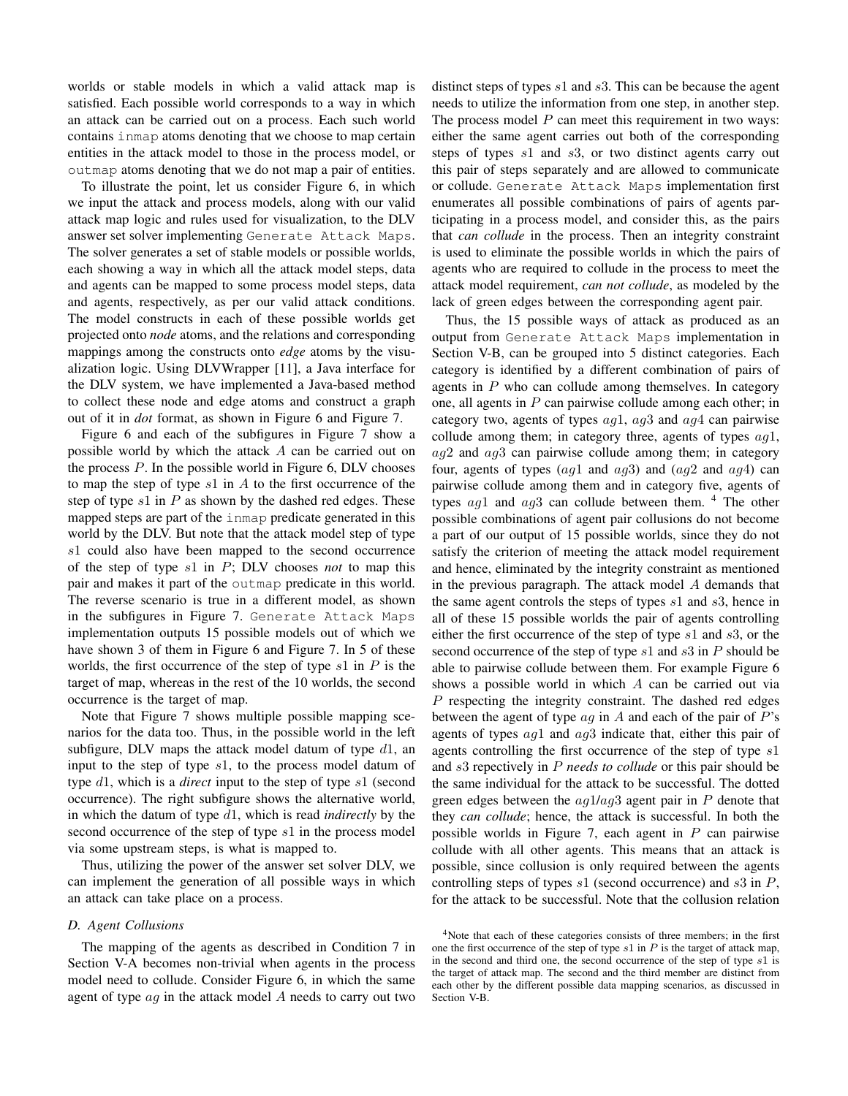worlds or stable models in which a valid attack map is satisfied. Each possible world corresponds to a way in which an attack can be carried out on a process. Each such world contains inmap atoms denoting that we choose to map certain entities in the attack model to those in the process model, or outmap atoms denoting that we do not map a pair of entities.

To illustrate the point, let us consider Figure 6, in which we input the attack and process models, along with our valid attack map logic and rules used for visualization, to the DLV answer set solver implementing Generate Attack Maps. The solver generates a set of stable models or possible worlds, each showing a way in which all the attack model steps, data and agents can be mapped to some process model steps, data and agents, respectively, as per our valid attack conditions. The model constructs in each of these possible worlds get projected onto *node* atoms, and the relations and corresponding mappings among the constructs onto *edge* atoms by the visualization logic. Using DLVWrapper [11], a Java interface for the DLV system, we have implemented a Java-based method to collect these node and edge atoms and construct a graph out of it in *dot* format, as shown in Figure 6 and Figure 7.

Figure 6 and each of the subfigures in Figure 7 show a possible world by which the attack A can be carried out on the process  $P$ . In the possible world in Figure 6, DLV chooses to map the step of type  $s1$  in A to the first occurrence of the step of type  $s1$  in  $P$  as shown by the dashed red edges. These mapped steps are part of the inmap predicate generated in this world by the DLV. But note that the attack model step of type s1 could also have been mapped to the second occurrence of the step of type s1 in P; DLV chooses *not* to map this pair and makes it part of the outmap predicate in this world. The reverse scenario is true in a different model, as shown in the subfigures in Figure 7. Generate Attack Maps implementation outputs 15 possible models out of which we have shown 3 of them in Figure 6 and Figure 7. In 5 of these worlds, the first occurrence of the step of type  $s1$  in  $P$  is the target of map, whereas in the rest of the 10 worlds, the second occurrence is the target of map.

Note that Figure 7 shows multiple possible mapping scenarios for the data too. Thus, in the possible world in the left subfigure, DLV maps the attack model datum of type  $d_1$ , an input to the step of type s1, to the process model datum of type d1, which is a *direct* input to the step of type s1 (second occurrence). The right subfigure shows the alternative world, in which the datum of type d1, which is read *indirectly* by the second occurrence of the step of type s1 in the process model via some upstream steps, is what is mapped to.

Thus, utilizing the power of the answer set solver DLV, we can implement the generation of all possible ways in which an attack can take place on a process.

#### *D. Agent Collusions*

The mapping of the agents as described in Condition 7 in Section V-A becomes non-trivial when agents in the process model need to collude. Consider Figure 6, in which the same agent of type  $ag$  in the attack model  $A$  needs to carry out two

distinct steps of types s1 and s3. This can be because the agent needs to utilize the information from one step, in another step. The process model  $P$  can meet this requirement in two ways: either the same agent carries out both of the corresponding steps of types s1 and s3, or two distinct agents carry out this pair of steps separately and are allowed to communicate or collude. Generate Attack Maps implementation first enumerates all possible combinations of pairs of agents participating in a process model, and consider this, as the pairs that *can collude* in the process. Then an integrity constraint is used to eliminate the possible worlds in which the pairs of agents who are required to collude in the process to meet the attack model requirement, *can not collude*, as modeled by the lack of green edges between the corresponding agent pair.

Thus, the 15 possible ways of attack as produced as an output from Generate Attack Maps implementation in Section V-B, can be grouped into 5 distinct categories. Each category is identified by a different combination of pairs of agents in  $P$  who can collude among themselves. In category one, all agents in  $P$  can pairwise collude among each other; in category two, agents of types  $aq1$ ,  $aq3$  and  $aq4$  can pairwise collude among them; in category three, agents of types  $aq1$ , ag2 and ag3 can pairwise collude among them; in category four, agents of types  $(ag1 \text{ and } ag3)$  and  $(ag2 \text{ and } ag4)$  can pairwise collude among them and in category five, agents of types  $aq1$  and  $aq3$  can collude between them. <sup>4</sup> The other possible combinations of agent pair collusions do not become a part of our output of 15 possible worlds, since they do not satisfy the criterion of meeting the attack model requirement and hence, eliminated by the integrity constraint as mentioned in the previous paragraph. The attack model A demands that the same agent controls the steps of types s1 and s3, hence in all of these 15 possible worlds the pair of agents controlling either the first occurrence of the step of type s1 and s3, or the second occurrence of the step of type s1 and s3 in P should be able to pairwise collude between them. For example Figure 6 shows a possible world in which A can be carried out via P respecting the integrity constraint. The dashed red edges between the agent of type  $ag$  in A and each of the pair of  $P$ 's agents of types  $aq1$  and  $aq3$  indicate that, either this pair of agents controlling the first occurrence of the step of type s1 and s3 repectively in P *needs to collude* or this pair should be the same individual for the attack to be successful. The dotted green edges between the  $ag1/ag3$  agent pair in P denote that they *can collude*; hence, the attack is successful. In both the possible worlds in Figure 7, each agent in  $P$  can pairwise collude with all other agents. This means that an attack is possible, since collusion is only required between the agents controlling steps of types  $s1$  (second occurrence) and  $s3$  in  $P$ , for the attack to be successful. Note that the collusion relation

<sup>&</sup>lt;sup>4</sup>Note that each of these categories consists of three members; in the first one the first occurrence of the step of type  $s1$  in  $P$  is the target of attack map, in the second and third one, the second occurrence of the step of type s1 is the target of attack map. The second and the third member are distinct from each other by the different possible data mapping scenarios, as discussed in Section V-B.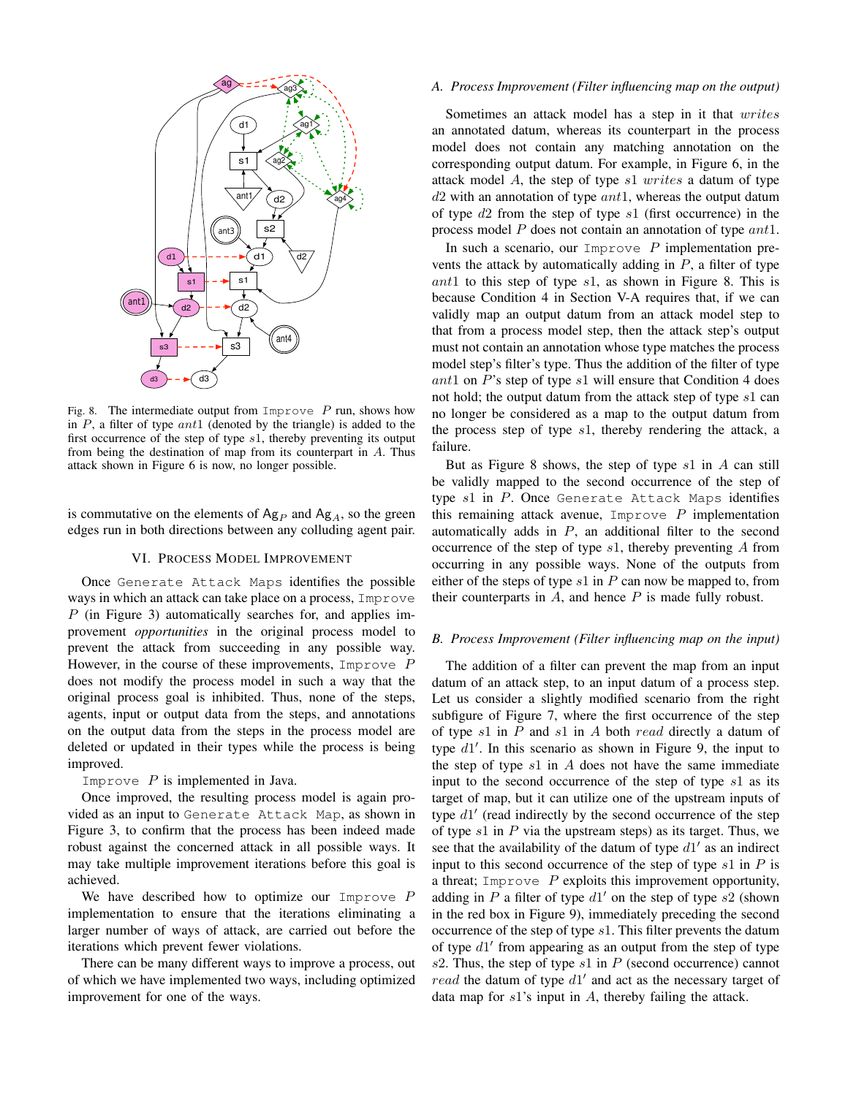

Fig. 8. The intermediate output from Improve  $P$  run, shows how in  $P$ , a filter of type ant1 (denoted by the triangle) is added to the first occurrence of the step of type s1, thereby preventing its output from being the destination of map from its counterpart in A. Thus attack shown in Figure 6 is now, no longer possible.

is commutative on the elements of  $Ag<sub>P</sub>$  and  $Ag<sub>A</sub>$ , so the green edges run in both directions between any colluding agent pair.

## VI. PROCESS MODEL IMPROVEMENT

Once Generate Attack Maps identifies the possible ways in which an attack can take place on a process, Improve P (in Figure 3) automatically searches for, and applies improvement *opportunities* in the original process model to prevent the attack from succeeding in any possible way. However, in the course of these improvements, Improve  $P$ does not modify the process model in such a way that the original process goal is inhibited. Thus, none of the steps, agents, input or output data from the steps, and annotations on the output data from the steps in the process model are deleted or updated in their types while the process is being improved.

Improve  $P$  is implemented in Java.

Once improved, the resulting process model is again provided as an input to Generate Attack Map, as shown in Figure 3, to confirm that the process has been indeed made robust against the concerned attack in all possible ways. It may take multiple improvement iterations before this goal is achieved.

We have described how to optimize our Improve  $P$ implementation to ensure that the iterations eliminating a larger number of ways of attack, are carried out before the iterations which prevent fewer violations.

There can be many different ways to improve a process, out of which we have implemented two ways, including optimized improvement for one of the ways.

#### *A. Process Improvement (Filter influencing map on the output)*

Sometimes an attack model has a step in it that writes an annotated datum, whereas its counterpart in the process model does not contain any matching annotation on the corresponding output datum. For example, in Figure 6, in the attack model  $A$ , the step of type  $s1$  writes a datum of type  $d2$  with an annotation of type  $ant1$ , whereas the output datum of type  $d2$  from the step of type  $s1$  (first occurrence) in the process model  $P$  does not contain an annotation of type  $ant1$ .

In such a scenario, our Improve  $P$  implementation prevents the attack by automatically adding in  $P$ , a filter of type ant1 to this step of type  $s1$ , as shown in Figure 8. This is because Condition 4 in Section V-A requires that, if we can validly map an output datum from an attack model step to that from a process model step, then the attack step's output must not contain an annotation whose type matches the process model step's filter's type. Thus the addition of the filter of type ant1 on  $P$ 's step of type  $s1$  will ensure that Condition 4 does not hold; the output datum from the attack step of type s1 can no longer be considered as a map to the output datum from the process step of type  $s1$ , thereby rendering the attack, a failure.

But as Figure 8 shows, the step of type  $s1$  in A can still be validly mapped to the second occurrence of the step of type s1 in P. Once Generate Attack Maps identifies this remaining attack avenue, Improve  $P$  implementation automatically adds in  $P$ , an additional filter to the second occurrence of the step of type  $s1$ , thereby preventing A from occurring in any possible ways. None of the outputs from either of the steps of type  $s1$  in P can now be mapped to, from their counterparts in  $A$ , and hence  $P$  is made fully robust.

# *B. Process Improvement (Filter influencing map on the input)*

The addition of a filter can prevent the map from an input datum of an attack step, to an input datum of a process step. Let us consider a slightly modified scenario from the right subfigure of Figure 7, where the first occurrence of the step of type  $s1$  in  $P$  and  $s1$  in  $A$  both read directly a datum of type  $d1'$ . In this scenario as shown in Figure 9, the input to the step of type  $s1$  in  $\overline{A}$  does not have the same immediate input to the second occurrence of the step of type s1 as its target of map, but it can utilize one of the upstream inputs of type  $d1'$  (read indirectly by the second occurrence of the step of type  $s1$  in  $P$  via the upstream steps) as its target. Thus, we see that the availability of the datum of type  $d1'$  as an indirect input to this second occurrence of the step of type  $s1$  in  $P$  is a threat; Improve  $P$  exploits this improvement opportunity, adding in  $P$  a filter of type  $d1'$  on the step of type  $s2$  (shown in the red box in Figure 9), immediately preceding the second occurrence of the step of type s1. This filter prevents the datum of type  $d1'$  from appearing as an output from the step of type s2. Thus, the step of type s1 in  $P$  (second occurrence) cannot  $read$  the datum of type  $d1'$  and act as the necessary target of data map for  $s1$ 's input in  $A$ , thereby failing the attack.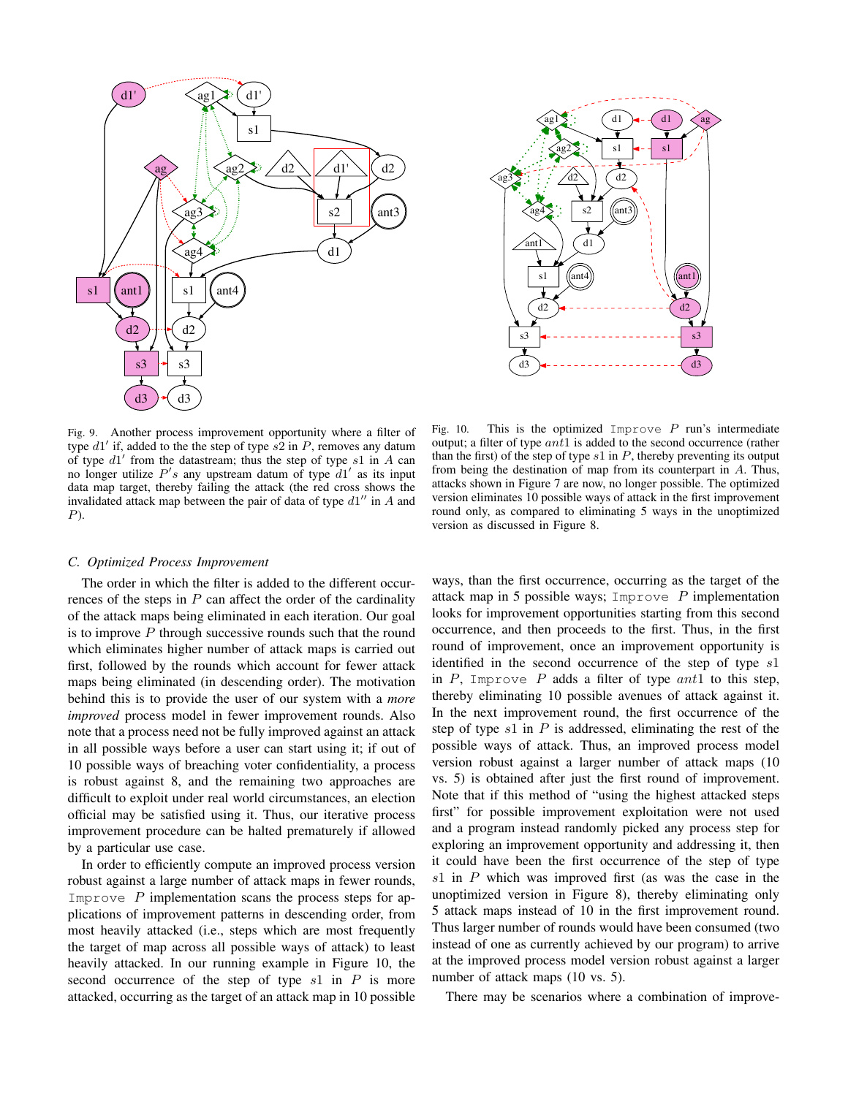



Fig. 9. Another process improvement opportunity where a filter of type  $d1'$  if, added to the the step of type  $s2$  in  $P$ , removes any datum of type  $d1'$  from the datastream; thus the step of type  $s1$  in A can no longer utilize  $P's$  any upstream datum of type  $d1'$  as its input data map target, thereby failing the attack (the red cross shows the invalidated attack map between the pair of data of type  $d1''$  in  $A$  and  $P$ ).

*C. Optimized Process Improvement*

The order in which the filter is added to the different occurrences of the steps in  $P$  can affect the order of the cardinality of the attack maps being eliminated in each iteration. Our goal is to improve  $P$  through successive rounds such that the round which eliminates higher number of attack maps is carried out first, followed by the rounds which account for fewer attack maps being eliminated (in descending order). The motivation behind this is to provide the user of our system with a *more improved* process model in fewer improvement rounds. Also note that a process need not be fully improved against an attack in all possible ways before a user can start using it; if out of 10 possible ways of breaching voter confidentiality, a process is robust against 8, and the remaining two approaches are difficult to exploit under real world circumstances, an election official may be satisfied using it. Thus, our iterative process improvement procedure can be halted prematurely if allowed by a particular use case.

In order to efficiently compute an improved process version robust against a large number of attack maps in fewer rounds, Improve  $P$  implementation scans the process steps for applications of improvement patterns in descending order, from most heavily attacked (i.e., steps which are most frequently the target of map across all possible ways of attack) to least heavily attacked. In our running example in Figure 10, the second occurrence of the step of type  $s1$  in  $P$  is more attacked, occurring as the target of an attack map in 10 possible

Fig. 10. This is the optimized Improve  $P$  run's intermediate output; a filter of type  $ant1$  is added to the second occurrence (rather than the first) of the step of type  $s1$  in  $P$ , thereby preventing its output from being the destination of map from its counterpart in A. Thus, attacks shown in Figure 7 are now, no longer possible. The optimized version eliminates 10 possible ways of attack in the first improvement round only, as compared to eliminating 5 ways in the unoptimized version as discussed in Figure 8.

ways, than the first occurrence, occurring as the target of the attack map in 5 possible ways; Improve  $P$  implementation looks for improvement opportunities starting from this second occurrence, and then proceeds to the first. Thus, in the first round of improvement, once an improvement opportunity is identified in the second occurrence of the step of type s1 in P, Improve P adds a filter of type  $ant1$  to this step, thereby eliminating 10 possible avenues of attack against it. In the next improvement round, the first occurrence of the step of type  $s1$  in  $P$  is addressed, eliminating the rest of the possible ways of attack. Thus, an improved process model version robust against a larger number of attack maps (10 vs. 5) is obtained after just the first round of improvement. Note that if this method of "using the highest attacked steps first" for possible improvement exploitation were not used and a program instead randomly picked any process step for exploring an improvement opportunity and addressing it, then it could have been the first occurrence of the step of type  $s1$  in  $P$  which was improved first (as was the case in the unoptimized version in Figure 8), thereby eliminating only 5 attack maps instead of 10 in the first improvement round. Thus larger number of rounds would have been consumed (two instead of one as currently achieved by our program) to arrive at the improved process model version robust against a larger number of attack maps (10 vs. 5).

There may be scenarios where a combination of improve-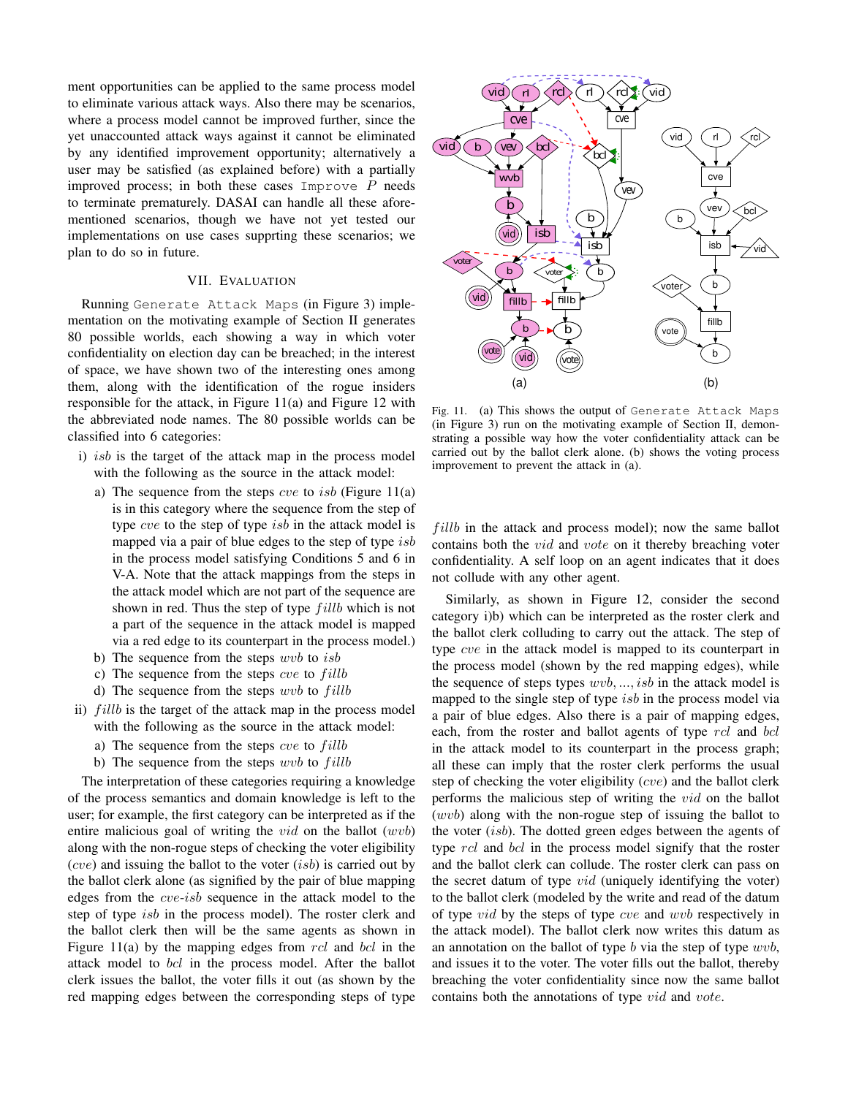ment opportunities can be applied to the same process model to eliminate various attack ways. Also there may be scenarios, where a process model cannot be improved further, since the yet unaccounted attack ways against it cannot be eliminated by any identified improvement opportunity; alternatively a user may be satisfied (as explained before) with a partially improved process; in both these cases  $Improve$   $P$  needs to terminate prematurely. DASAI can handle all these aforementioned scenarios, though we have not yet tested our implementations on use cases supprting these scenarios; we plan to do so in future.

# VII. EVALUATION

Running Generate Attack Maps (in Figure 3) implementation on the motivating example of Section II generates 80 possible worlds, each showing a way in which voter confidentiality on election day can be breached; in the interest of space, we have shown two of the interesting ones among them, along with the identification of the rogue insiders responsible for the attack, in Figure 11(a) and Figure 12 with the abbreviated node names. The 80 possible worlds can be classified into 6 categories:

- i) *isb* is the target of the attack map in the process model with the following as the source in the attack model:
	- a) The sequence from the steps  $cve$  to isb (Figure 11(a) is in this category where the sequence from the step of type cve to the step of type isb in the attack model is mapped via a pair of blue edges to the step of type  $isb$ in the process model satisfying Conditions 5 and 6 in V-A. Note that the attack mappings from the steps in the attack model which are not part of the sequence are shown in red. Thus the step of type *fillb* which is not a part of the sequence in the attack model is mapped via a red edge to its counterpart in the process model.)
	- b) The sequence from the steps  $wvb$  to isb
	- c) The sequence from the steps  $cve$  to  $fillb$
	- d) The sequence from the steps  $wvb$  to  $fillb$
- ii) *fillb* is the target of the attack map in the process model with the following as the source in the attack model:
	- a) The sequence from the steps  $cve$  to  $fillb$
	- b) The sequence from the steps  $wvb$  to  $fillb$

The interpretation of these categories requiring a knowledge of the process semantics and domain knowledge is left to the user; for example, the first category can be interpreted as if the entire malicious goal of writing the *vid* on the ballot  $(wvb)$ along with the non-rogue steps of checking the voter eligibility  $(cve)$  and issuing the ballot to the voter  $(isb)$  is carried out by the ballot clerk alone (as signified by the pair of blue mapping edges from the cve-isb sequence in the attack model to the step of type isb in the process model). The roster clerk and the ballot clerk then will be the same agents as shown in Figure 11(a) by the mapping edges from  $rcl$  and  $bcl$  in the attack model to bcl in the process model. After the ballot clerk issues the ballot, the voter fills it out (as shown by the red mapping edges between the corresponding steps of type



Fig. 11. (a) This shows the output of Generate Attack Maps (in Figure 3) run on the motivating example of Section II, demonstrating a possible way how the voter confidentiality attack can be carried out by the ballot clerk alone. (b) shows the voting process improvement to prevent the attack in (a).

fillb in the attack and process model); now the same ballot contains both the vid and vote on it thereby breaching voter confidentiality. A self loop on an agent indicates that it does not collude with any other agent.

Similarly, as shown in Figure 12, consider the second category i)b) which can be interpreted as the roster clerk and the ballot clerk colluding to carry out the attack. The step of type cve in the attack model is mapped to its counterpart in the process model (shown by the red mapping edges), while the sequence of steps types  $wvb, ..., isb$  in the attack model is mapped to the single step of type isb in the process model via a pair of blue edges. Also there is a pair of mapping edges, each, from the roster and ballot agents of type rcl and bcl in the attack model to its counterpart in the process graph; all these can imply that the roster clerk performs the usual step of checking the voter eligibility  $(cve)$  and the ballot clerk performs the malicious step of writing the *vid* on the ballot (wvb) along with the non-rogue step of issuing the ballot to the voter (isb). The dotted green edges between the agents of type rcl and bcl in the process model signify that the roster and the ballot clerk can collude. The roster clerk can pass on the secret datum of type  $vid$  (uniquely identifying the voter) to the ballot clerk (modeled by the write and read of the datum of type vid by the steps of type cve and wvb respectively in the attack model). The ballot clerk now writes this datum as an annotation on the ballot of type  $b$  via the step of type  $wvb$ , and issues it to the voter. The voter fills out the ballot, thereby breaching the voter confidentiality since now the same ballot contains both the annotations of type *vid* and *vote*.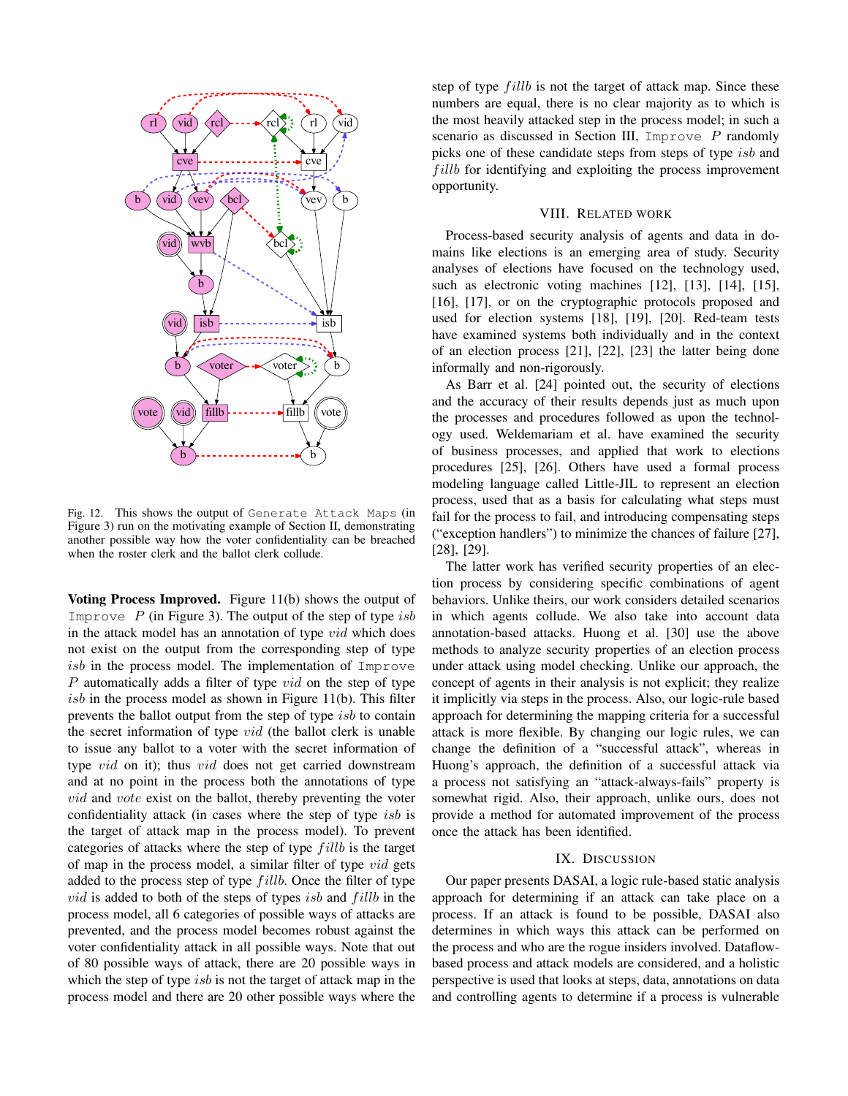

Fig. 12. This shows the output of Generate Attack Maps (in Figure 3) run on the motivating example of Section II, demonstrating another possible way how the voter confidentiality can be breached when the roster clerk and the ballot clerk collude.

Voting Process Improved. Figure 11(b) shows the output of Improve  $P$  (in Figure 3). The output of the step of type isb in the attack model has an annotation of type  $vid$  which does not exist on the output from the corresponding step of type isb in the process model. The implementation of Improve P automatically adds a filter of type *vid* on the step of type isb in the process model as shown in Figure 11(b). This filter prevents the ballot output from the step of type isb to contain the secret information of type  $vid$  (the ballot clerk is unable to issue any ballot to a voter with the secret information of type *vid* on it); thus *vid* does not get carried downstream and at no point in the process both the annotations of type vid and vote exist on the ballot, thereby preventing the voter confidentiality attack (in cases where the step of type isb is the target of attack map in the process model). To prevent categories of attacks where the step of type *fillb* is the target of map in the process model, a similar filter of type *vid* gets added to the process step of type  $fillb$ . Once the filter of type  $vid$  is added to both of the steps of types isb and  $fillb$  in the process model, all 6 categories of possible ways of attacks are prevented, and the process model becomes robust against the voter confidentiality attack in all possible ways. Note that out of 80 possible ways of attack, there are 20 possible ways in which the step of type  $isb$  is not the target of attack map in the process model and there are 20 other possible ways where the

step of type *fillb* is not the target of attack map. Since these numbers are equal, there is no clear majority as to which is the most heavily attacked step in the process model; in such a scenario as discussed in Section III, Improve  $P$  randomly picks one of these candidate steps from steps of type isb and fillb for identifying and exploiting the process improvement opportunity.

# VIII. RELATED WORK

Process-based security analysis of agents and data in domains like elections is an emerging area of study. Security analyses of elections have focused on the technology used, such as electronic voting machines [12], [13], [14], [15], [16], [17], or on the cryptographic protocols proposed and used for election systems [18], [19], [20]. Red-team tests have examined systems both individually and in the context of an election process [21], [22], [23] the latter being done informally and non-rigorously.

As Barr et al. [24] pointed out, the security of elections and the accuracy of their results depends just as much upon the processes and procedures followed as upon the technology used. Weldemariam et al. have examined the security of business processes, and applied that work to elections procedures [25], [26]. Others have used a formal process modeling language called Little-JIL to represent an election process, used that as a basis for calculating what steps must fail for the process to fail, and introducing compensating steps ("exception handlers") to minimize the chances of failure [27], [28], [29].

The latter work has verified security properties of an election process by considering specific combinations of agent behaviors. Unlike theirs, our work considers detailed scenarios in which agents collude. We also take into account data annotation-based attacks. Huong et al. [30] use the above methods to analyze security properties of an election process under attack using model checking. Unlike our approach, the concept of agents in their analysis is not explicit; they realize it implicitly via steps in the process. Also, our logic-rule based approach for determining the mapping criteria for a successful attack is more flexible. By changing our logic rules, we can change the definition of a "successful attack", whereas in Huong's approach, the definition of a successful attack via a process not satisfying an "attack-always-fails" property is somewhat rigid. Also, their approach, unlike ours, does not provide a method for automated improvement of the process once the attack has been identified.

# IX. DISCUSSION

Our paper presents DASAI, a logic rule-based static analysis approach for determining if an attack can take place on a process. If an attack is found to be possible, DASAI also determines in which ways this attack can be performed on the process and who are the rogue insiders involved. Dataflowbased process and attack models are considered, and a holistic perspective is used that looks at steps, data, annotations on data and controlling agents to determine if a process is vulnerable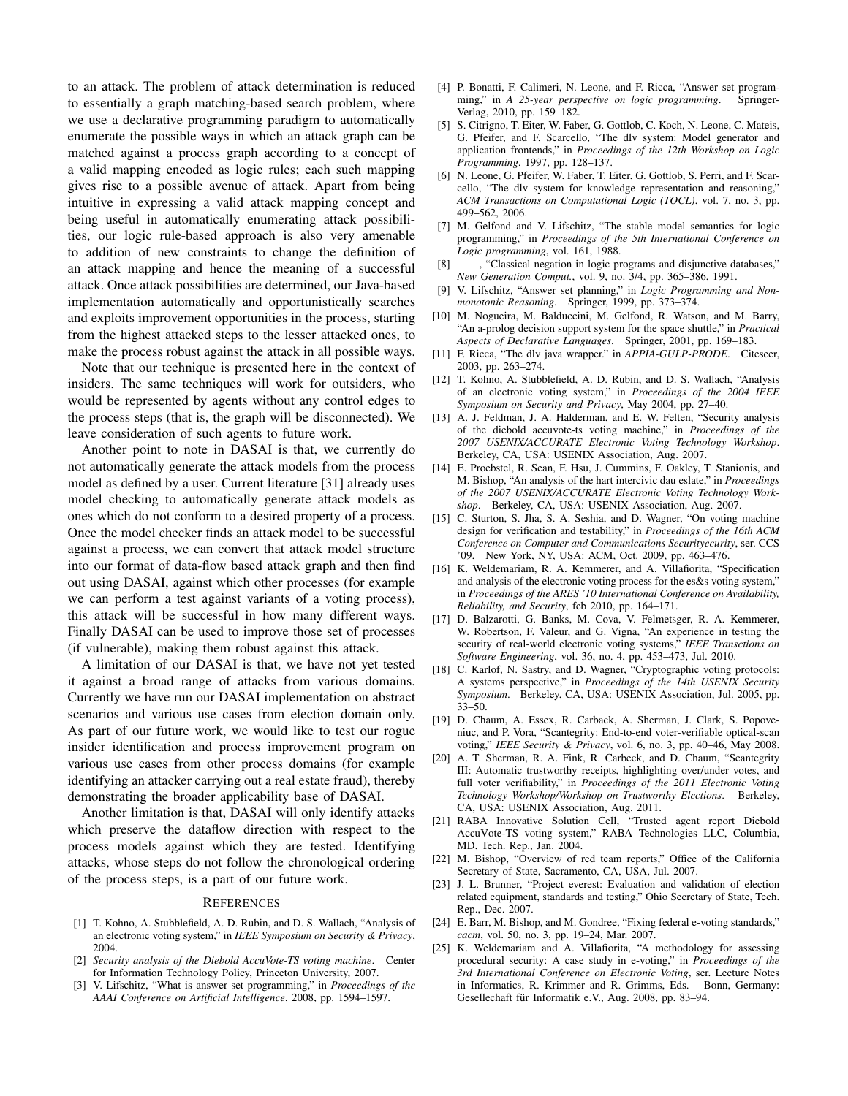to an attack. The problem of attack determination is reduced to essentially a graph matching-based search problem, where we use a declarative programming paradigm to automatically enumerate the possible ways in which an attack graph can be matched against a process graph according to a concept of a valid mapping encoded as logic rules; each such mapping gives rise to a possible avenue of attack. Apart from being intuitive in expressing a valid attack mapping concept and being useful in automatically enumerating attack possibilities, our logic rule-based approach is also very amenable to addition of new constraints to change the definition of an attack mapping and hence the meaning of a successful attack. Once attack possibilities are determined, our Java-based implementation automatically and opportunistically searches and exploits improvement opportunities in the process, starting from the highest attacked steps to the lesser attacked ones, to make the process robust against the attack in all possible ways.

Note that our technique is presented here in the context of insiders. The same techniques will work for outsiders, who would be represented by agents without any control edges to the process steps (that is, the graph will be disconnected). We leave consideration of such agents to future work.

Another point to note in DASAI is that, we currently do not automatically generate the attack models from the process model as defined by a user. Current literature [31] already uses model checking to automatically generate attack models as ones which do not conform to a desired property of a process. Once the model checker finds an attack model to be successful against a process, we can convert that attack model structure into our format of data-flow based attack graph and then find out using DASAI, against which other processes (for example we can perform a test against variants of a voting process), this attack will be successful in how many different ways. Finally DASAI can be used to improve those set of processes (if vulnerable), making them robust against this attack.

A limitation of our DASAI is that, we have not yet tested it against a broad range of attacks from various domains. Currently we have run our DASAI implementation on abstract scenarios and various use cases from election domain only. As part of our future work, we would like to test our rogue insider identification and process improvement program on various use cases from other process domains (for example identifying an attacker carrying out a real estate fraud), thereby demonstrating the broader applicability base of DASAI.

Another limitation is that, DASAI will only identify attacks which preserve the dataflow direction with respect to the process models against which they are tested. Identifying attacks, whose steps do not follow the chronological ordering of the process steps, is a part of our future work.

#### **REFERENCES**

- [1] T. Kohno, A. Stubblefield, A. D. Rubin, and D. S. Wallach, "Analysis of an electronic voting system," in *IEEE Symposium on Security & Privacy*, 2004.
- [2] *Security analysis of the Diebold AccuVote-TS voting machine*. Center for Information Technology Policy, Princeton University, 2007.
- [3] V. Lifschitz, "What is answer set programming," in *Proceedings of the AAAI Conference on Artificial Intelligence*, 2008, pp. 1594–1597.
- [4] P. Bonatti, F. Calimeri, N. Leone, and F. Ricca, "Answer set programming," in *A 25-year perspective on logic programming*. Springer-Verlag, 2010, pp. 159–182.
- [5] S. Citrigno, T. Eiter, W. Faber, G. Gottlob, C. Koch, N. Leone, C. Mateis, G. Pfeifer, and F. Scarcello, "The dlv system: Model generator and application frontends," in *Proceedings of the 12th Workshop on Logic Programming*, 1997, pp. 128–137.
- [6] N. Leone, G. Pfeifer, W. Faber, T. Eiter, G. Gottlob, S. Perri, and F. Scarcello, "The dlv system for knowledge representation and reasoning," *ACM Transactions on Computational Logic (TOCL)*, vol. 7, no. 3, pp. 499–562, 2006.
- [7] M. Gelfond and V. Lifschitz, "The stable model semantics for logic programming," in *Proceedings of the 5th International Conference on Logic programming*, vol. 161, 1988.
- [8] ——, "Classical negation in logic programs and disjunctive databases," *New Generation Comput.*, vol. 9, no. 3/4, pp. 365–386, 1991.
- [9] V. Lifschitz, "Answer set planning," in *Logic Programming and Nonmonotonic Reasoning*. Springer, 1999, pp. 373–374.
- [10] M. Nogueira, M. Balduccini, M. Gelfond, R. Watson, and M. Barry, "An a-prolog decision support system for the space shuttle," in *Practical Aspects of Declarative Languages*. Springer, 2001, pp. 169–183.
- [11] F. Ricca, "The dlv java wrapper." in *APPIA-GULP-PRODE*. Citeseer, 2003, pp. 263–274.
- [12] T. Kohno, A. Stubblefield, A. D. Rubin, and D. S. Wallach, "Analysis of an electronic voting system," in *Proceedings of the 2004 IEEE Symposium on Security and Privacy*, May 2004, pp. 27–40.
- [13] A. J. Feldman, J. A. Halderman, and E. W. Felten, "Security analysis of the diebold accuvote-ts voting machine," in *Proceedings of the 2007 USENIX/ACCURATE Electronic Voting Technology Workshop*. Berkeley, CA, USA: USENIX Association, Aug. 2007.
- [14] E. Proebstel, R. Sean, F. Hsu, J. Cummins, F. Oakley, T. Stanionis, and M. Bishop, "An analysis of the hart intercivic dau eslate," in *Proceedings of the 2007 USENIX/ACCURATE Electronic Voting Technology Workshop*. Berkeley, CA, USA: USENIX Association, Aug. 2007.
- [15] C. Sturton, S. Jha, S. A. Seshia, and D. Wagner, "On voting machine design for verification and testability," in *Proceedings of the 16th ACM Conference on Computer and Communications Securityecurity*, ser. CCS '09. New York, NY, USA: ACM, Oct. 2009, pp. 463–476.
- [16] K. Weldemariam, R. A. Kemmerer, and A. Villafiorita, "Specification and analysis of the electronic voting process for the es&s voting system," in *Proceedings of the ARES '10 International Conference on Availability, Reliability, and Security*, feb 2010, pp. 164–171.
- [17] D. Balzarotti, G. Banks, M. Cova, V. Felmetsger, R. A. Kemmerer, W. Robertson, F. Valeur, and G. Vigna, "An experience in testing the security of real-world electronic voting systems," *IEEE Transctions on Software Engineering*, vol. 36, no. 4, pp. 453–473, Jul. 2010.
- [18] C. Karlof, N. Sastry, and D. Wagner, "Cryptographic voting protocols: A systems perspective," in *Proceedings of the 14th USENIX Security Symposium*. Berkeley, CA, USA: USENIX Association, Jul. 2005, pp. 33–50.
- [19] D. Chaum, A. Essex, R. Carback, A. Sherman, J. Clark, S. Popoveniuc, and P. Vora, "Scantegrity: End-to-end voter-verifiable optical-scan voting," *IEEE Security & Privacy*, vol. 6, no. 3, pp. 40–46, May 2008.
- [20] A. T. Sherman, R. A. Fink, R. Carbeck, and D. Chaum, "Scantegrity III: Automatic trustworthy receipts, highlighting over/under votes, and full voter verifiability," in *Proceedings of the 2011 Electronic Voting Technology Workshop/Workshop on Trustworthy Elections*. Berkeley, CA, USA: USENIX Association, Aug. 2011.
- [21] RABA Innovative Solution Cell, "Trusted agent report Diebold AccuVote-TS voting system," RABA Technologies LLC, Columbia, MD, Tech. Rep., Jan. 2004.
- [22] M. Bishop, "Overview of red team reports," Office of the California Secretary of State, Sacramento, CA, USA, Jul. 2007.
- [23] J. L. Brunner, "Project everest: Evaluation and validation of election related equipment, standards and testing," Ohio Secretary of State, Tech. Rep., Dec. 2007.
- [24] E. Barr, M. Bishop, and M. Gondree, "Fixing federal e-voting standards," *cacm*, vol. 50, no. 3, pp. 19–24, Mar. 2007.
- [25] K. Weldemariam and A. Villafiorita, "A methodology for assessing procedural security: A case study in e-voting," in *Proceedings of the 3rd International Conference on Electronic Voting*, ser. Lecture Notes in Informatics, R. Krimmer and R. Grimms, Eds. Bonn, Germany: Gesellechaft für Informatik e.V., Aug. 2008, pp. 83-94.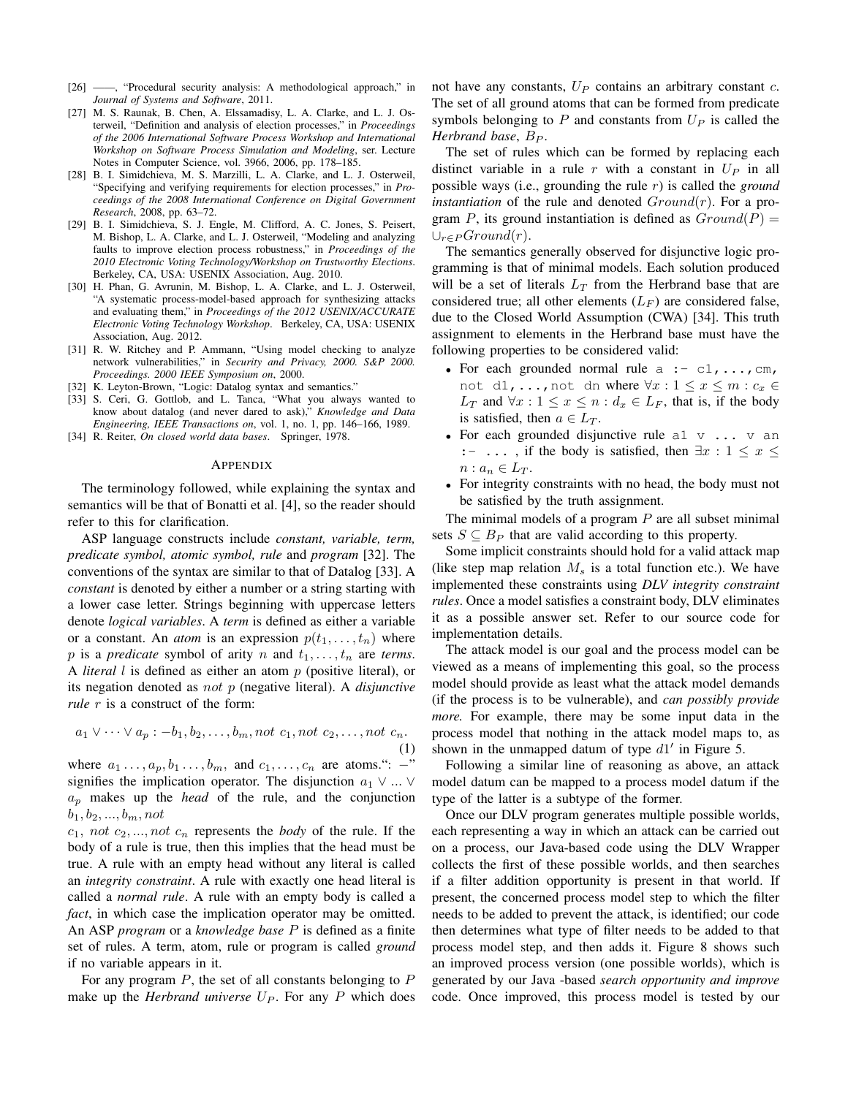- [26] ——, "Procedural security analysis: A methodological approach," in *Journal of Systems and Software*, 2011.
- [27] M. S. Raunak, B. Chen, A. Elssamadisy, L. A. Clarke, and L. J. Osterweil, "Definition and analysis of election processes," in *Proceedings of the 2006 International Software Process Workshop and International Workshop on Software Process Simulation and Modeling*, ser. Lecture Notes in Computer Science, vol. 3966, 2006, pp. 178–185.
- [28] B. I. Simidchieva, M. S. Marzilli, L. A. Clarke, and L. J. Osterweil, "Specifying and verifying requirements for election processes," in *Proceedings of the 2008 International Conference on Digital Government Research*, 2008, pp. 63–72.
- [29] B. I. Simidchieva, S. J. Engle, M. Clifford, A. C. Jones, S. Peisert, M. Bishop, L. A. Clarke, and L. J. Osterweil, "Modeling and analyzing faults to improve election process robustness," in *Proceedings of the 2010 Electronic Voting Technology/Workshop on Trustworthy Elections*. Berkeley, CA, USA: USENIX Association, Aug. 2010.
- [30] H. Phan, G. Avrunin, M. Bishop, L. A. Clarke, and L. J. Osterweil, "A systematic process-model-based approach for synthesizing attacks and evaluating them," in *Proceedings of the 2012 USENIX/ACCURATE Electronic Voting Technology Workshop*. Berkeley, CA, USA: USENIX Association, Aug. 2012.
- [31] R. W. Ritchey and P. Ammann, "Using model checking to analyze network vulnerabilities," in *Security and Privacy, 2000. S&P 2000. Proceedings. 2000 IEEE Symposium on*, 2000.
- [32] K. Leyton-Brown, "Logic: Datalog syntax and semantics."
- [33] S. Ceri, G. Gottlob, and L. Tanca, "What you always wanted to know about datalog (and never dared to ask)," *Knowledge and Data Engineering, IEEE Transactions on*, vol. 1, no. 1, pp. 146–166, 1989.
- [34] R. Reiter, *On closed world data bases*. Springer, 1978.

#### APPENDIX

The terminology followed, while explaining the syntax and semantics will be that of Bonatti et al. [4], so the reader should refer to this for clarification.

ASP language constructs include *constant, variable, term, predicate symbol, atomic symbol, rule* and *program* [32]. The conventions of the syntax are similar to that of Datalog [33]. A *constant* is denoted by either a number or a string starting with a lower case letter. Strings beginning with uppercase letters denote *logical variables*. A *term* is defined as either a variable or a constant. An *atom* is an expression  $p(t_1, \ldots, t_n)$  where p is a *predicate* symbol of arity n and  $t_1, \ldots, t_n$  are *terms*. A *literal* l is defined as either an atom p (positive literal), or its negation denoted as not p (negative literal). A *disjunctive rule* r is a construct of the form:

$$
a_1 \vee \cdots \vee a_p : -b_1, b_2, \ldots, b_m, not \ c_1, not \ c_2, \ldots, not \ c_n.
$$
\n
$$
(1)
$$

where  $a_1 \ldots, a_p, b_1 \ldots, b_m$ , and  $c_1, \ldots, c_n$  are atoms.": −" signifies the implication operator. The disjunction  $a_1 \vee \dots \vee$ a<sup>p</sup> makes up the *head* of the rule, and the conjunction  $b_1, b_2, ..., b_m, not$ 

 $c_1$ , not  $c_2$ , ..., not  $c_n$  represents the *body* of the rule. If the body of a rule is true, then this implies that the head must be true. A rule with an empty head without any literal is called an *integrity constraint*. A rule with exactly one head literal is called a *normal rule*. A rule with an empty body is called a *fact*, in which case the implication operator may be omitted. An ASP *program* or a *knowledge base* P is defined as a finite set of rules. A term, atom, rule or program is called *ground* if no variable appears in it.

For any program  $P$ , the set of all constants belonging to  $P$ make up the *Herbrand universe*  $U_P$ . For any  $P$  which does not have any constants,  $U_P$  contains an arbitrary constant  $c$ . The set of all ground atoms that can be formed from predicate symbols belonging to  $P$  and constants from  $U_P$  is called the *Herbrand base*,  $B_P$ .

The set of rules which can be formed by replacing each distinct variable in a rule r with a constant in  $U_P$  in all possible ways (i.e., grounding the rule r) is called the *ground instantiation* of the rule and denoted  $Ground(r)$ . For a program P, its ground instantiation is defined as  $Ground(P)$  =  $\cup_{r\in P} Ground(r).$ 

The semantics generally observed for disjunctive logic programming is that of minimal models. Each solution produced will be a set of literals  $L_T$  from the Herbrand base that are considered true; all other elements  $(L_F)$  are considered false, due to the Closed World Assumption (CWA) [34]. This truth assignment to elements in the Herbrand base must have the following properties to be considered valid:

- For each grounded normal rule  $a : (-c_1, \ldots, c_m, c_m)$ not d1,...,not dn where  $\forall x: 1 \leq x \leq m : c_x \in$  $L_T$  and  $\forall x : 1 \leq x \leq n : d_x \in L_F$ , that is, if the body is satisfied, then  $a \in L_T$ .
- For each grounded disjunctive rule  $a1 \vee \ldots \vee a$ n :- ..., if the body is satisfied, then  $\exists x : 1 \leq x \leq$  $n: a_n \in L_T$ .
- For integrity constraints with no head, the body must not be satisfied by the truth assignment.

The minimal models of a program  $P$  are all subset minimal sets  $S \subseteq B_P$  that are valid according to this property.

Some implicit constraints should hold for a valid attack map (like step map relation  $M<sub>s</sub>$  is a total function etc.). We have implemented these constraints using *DLV integrity constraint rules*. Once a model satisfies a constraint body, DLV eliminates it as a possible answer set. Refer to our source code for implementation details.

The attack model is our goal and the process model can be viewed as a means of implementing this goal, so the process model should provide as least what the attack model demands (if the process is to be vulnerable), and *can possibly provide more.* For example, there may be some input data in the process model that nothing in the attack model maps to, as shown in the unmapped datum of type  $d1'$  in Figure 5.

Following a similar line of reasoning as above, an attack model datum can be mapped to a process model datum if the type of the latter is a subtype of the former.

Once our DLV program generates multiple possible worlds, each representing a way in which an attack can be carried out on a process, our Java-based code using the DLV Wrapper collects the first of these possible worlds, and then searches if a filter addition opportunity is present in that world. If present, the concerned process model step to which the filter needs to be added to prevent the attack, is identified; our code then determines what type of filter needs to be added to that process model step, and then adds it. Figure 8 shows such an improved process version (one possible worlds), which is generated by our Java -based *search opportunity and improve* code. Once improved, this process model is tested by our